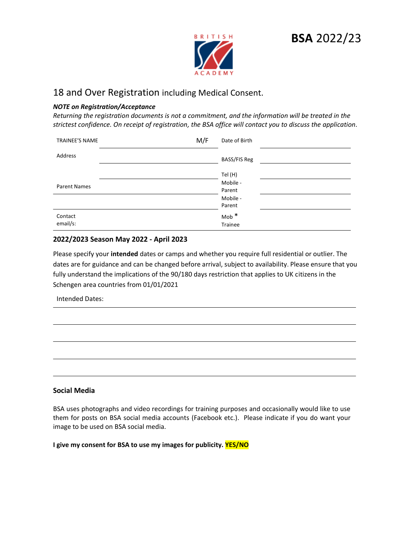

# 18 and Over Registration including Medical Consent.

#### *NOTE on Registration/Acceptance*

*Returning the registration documents is not a commitment, and the information will be treated in the strictest confidence. On receipt of registration, the BSA office will contact you to discuss the application*.

| TRAINEE'S NAME      | M/F<br>Date of Birth        |
|---------------------|-----------------------------|
| Address             | <b>BASS/FIS Reg</b>         |
|                     | Tel (H)                     |
| <b>Parent Names</b> | Mobile -<br>Parent          |
|                     | Mobile -<br>Parent          |
| Contact<br>email/s: | $\text{Mob}$ $*$<br>Trainee |

#### **2022/2023 Season May 2022 - April 2023**

Please specify your **intended** dates or camps and whether you require full residential or outlier. The dates are for guidance and can be changed before arrival, subject to availability. Please ensure that you fully understand the implications of the 90/180 days restriction that applies to UK citizens in the Schengen area countries from 01/01/2021

Intended Dates:

#### **Social Media**

BSA uses photographs and video recordings for training purposes and occasionally would like to use them for posts on BSA social media accounts (Facebook etc.). Please indicate if you do want your image to be used on BSA social media.

**I give my consent for BSA to use my images for publicity. YES/NO**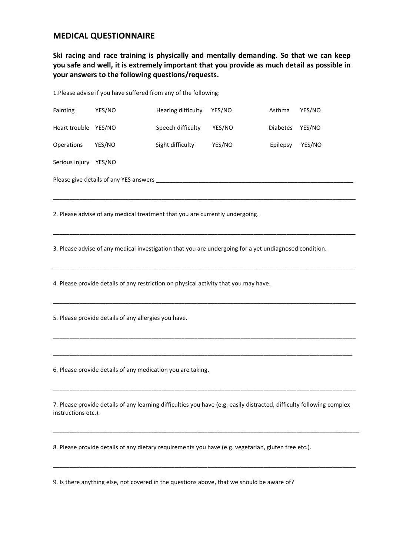#### **MEDICAL QUESTIONNAIRE**

**Ski racing and race training is physically and mentally demanding. So that we can keep you safe and well, it is extremely important that you provide as much detail as possible in your answers to the following questions/requests.**

1.Please advise if you have suffered from any of the following:

| Fainting                               | YES/NO | Hearing difficulty | YES/NO | Asthma          | YES/NO |  |  |
|----------------------------------------|--------|--------------------|--------|-----------------|--------|--|--|
| Heart trouble YES/NO                   |        | Speech difficulty  | YES/NO | <b>Diabetes</b> | YES/NO |  |  |
| <b>Operations</b>                      | YES/NO | Sight difficulty   | YES/NO | Epilepsy        | YES/NO |  |  |
| Serious injury                         | YES/NO |                    |        |                 |        |  |  |
| Please give details of any YES answers |        |                    |        |                 |        |  |  |

\_\_\_\_\_\_\_\_\_\_\_\_\_\_\_\_\_\_\_\_\_\_\_\_\_\_\_\_\_\_\_\_\_\_\_\_\_\_\_\_\_\_\_\_\_\_\_\_\_\_\_\_\_\_\_\_\_\_\_\_\_\_\_\_\_\_\_\_\_\_\_\_\_\_\_\_\_\_\_\_\_\_\_\_\_\_\_\_\_\_\_\_

\_\_\_\_\_\_\_\_\_\_\_\_\_\_\_\_\_\_\_\_\_\_\_\_\_\_\_\_\_\_\_\_\_\_\_\_\_\_\_\_\_\_\_\_\_\_\_\_\_\_\_\_\_\_\_\_\_\_\_\_\_\_\_\_\_\_\_\_\_\_\_\_\_\_\_\_\_\_\_\_\_\_\_\_\_\_\_\_\_\_\_\_

\_\_\_\_\_\_\_\_\_\_\_\_\_\_\_\_\_\_\_\_\_\_\_\_\_\_\_\_\_\_\_\_\_\_\_\_\_\_\_\_\_\_\_\_\_\_\_\_\_\_\_\_\_\_\_\_\_\_\_\_\_\_\_\_\_\_\_\_\_\_\_\_\_\_\_\_\_\_\_\_\_\_\_\_\_\_\_\_\_\_\_\_

\_\_\_\_\_\_\_\_\_\_\_\_\_\_\_\_\_\_\_\_\_\_\_\_\_\_\_\_\_\_\_\_\_\_\_\_\_\_\_\_\_\_\_\_\_\_\_\_\_\_\_\_\_\_\_\_\_\_\_\_\_\_\_\_\_\_\_\_\_\_\_\_\_\_\_\_\_\_\_\_\_\_\_\_\_\_\_\_\_\_\_\_

\_\_\_\_\_\_\_\_\_\_\_\_\_\_\_\_\_\_\_\_\_\_\_\_\_\_\_\_\_\_\_\_\_\_\_\_\_\_\_\_\_\_\_\_\_\_\_\_\_\_\_\_\_\_\_\_\_\_\_\_\_\_\_\_\_\_\_\_\_\_\_\_\_\_\_\_\_\_\_\_\_\_\_\_\_\_\_\_\_\_\_\_

\_\_\_\_\_\_\_\_\_\_\_\_\_\_\_\_\_\_\_\_\_\_\_\_\_\_\_\_\_\_\_\_\_\_\_\_\_\_\_\_\_\_\_\_\_\_\_\_\_\_\_\_\_\_\_\_\_\_\_\_\_\_\_\_\_\_\_\_\_\_\_\_\_\_\_\_\_\_\_\_\_\_\_\_\_\_\_\_\_\_\_

2. Please advise of any medical treatment that you are currently undergoing.

3. Please advise of any medical investigation that you are undergoing for a yet undiagnosed condition.

4. Please provide details of any restriction on physical activity that you may have.

5. Please provide details of any allergies you have.

6. Please provide details of any medication you are taking.

7. Please provide details of any learning difficulties you have (e.g. easily distracted, difficulty following complex instructions etc.).

\_\_\_\_\_\_\_\_\_\_\_\_\_\_\_\_\_\_\_\_\_\_\_\_\_\_\_\_\_\_\_\_\_\_\_\_\_\_\_\_\_\_\_\_\_\_\_\_\_\_\_\_\_\_\_\_\_\_\_\_\_\_\_\_\_\_\_\_\_\_\_\_\_\_\_\_\_\_\_\_\_\_\_\_\_\_\_\_\_\_\_\_\_

\_\_\_\_\_\_\_\_\_\_\_\_\_\_\_\_\_\_\_\_\_\_\_\_\_\_\_\_\_\_\_\_\_\_\_\_\_\_\_\_\_\_\_\_\_\_\_\_\_\_\_\_\_\_\_\_\_\_\_\_\_\_\_\_\_\_\_\_\_\_\_\_\_\_\_\_\_\_\_\_\_\_\_\_\_\_\_\_\_\_\_\_

\_\_\_\_\_\_\_\_\_\_\_\_\_\_\_\_\_\_\_\_\_\_\_\_\_\_\_\_\_\_\_\_\_\_\_\_\_\_\_\_\_\_\_\_\_\_\_\_\_\_\_\_\_\_\_\_\_\_\_\_\_\_\_\_\_\_\_\_\_\_\_\_\_\_\_\_\_\_\_\_\_\_\_\_\_\_\_\_\_\_\_\_

8. Please provide details of any dietary requirements you have (e.g. vegetarian, gluten free etc.).

9. Is there anything else, not covered in the questions above, that we should be aware of?